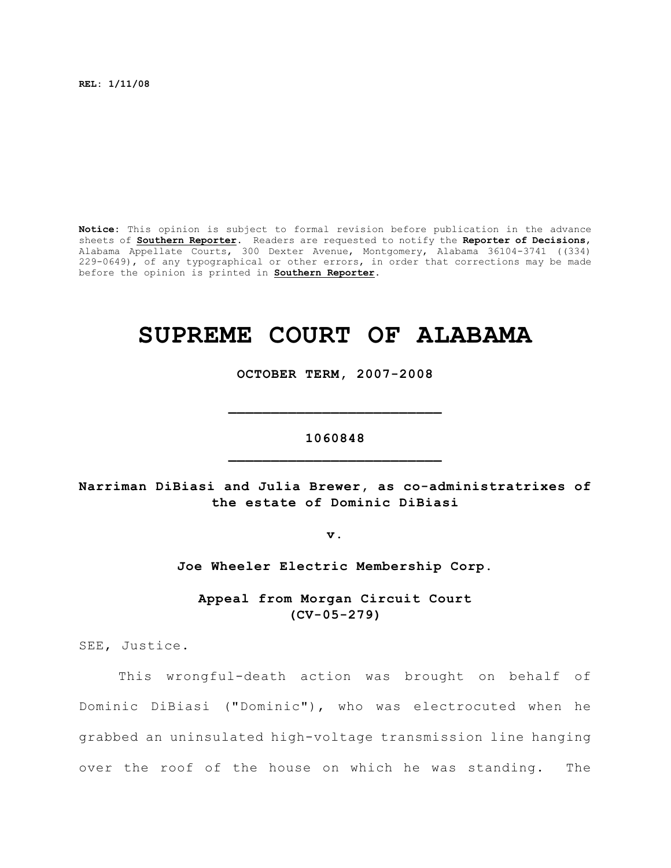**REL: 1/11/08**

**Notice:** This opinion is subject to formal revision before publication in the advance sheets of **Southern Reporter**. Readers are requested to notify the **Reporter of Decisions**, Alabama Appellate Courts, 300 Dexter Avenue, Montgomery, Alabama 36104-3741 ((334) 229-0649), of any typographical or other errors, in order that corrections may be made before the opinion is printed in **Southern Reporter**.

# **SUPREME COURT OF ALABAMA**

**OCTOBER TERM, 2007-2008**

## **1060848 \_\_\_\_\_\_\_\_\_\_\_\_\_\_\_\_\_\_\_\_\_\_\_\_\_**

**\_\_\_\_\_\_\_\_\_\_\_\_\_\_\_\_\_\_\_\_\_\_\_\_\_**

**Narriman DiBiasi and Julia Brewer, as co-administratrixes of the estate of Dominic DiBiasi**

**v.**

**Joe Wheeler Electric Membership Corp.**

**Appeal from Morgan Circuit Court (CV-05-279)**

SEE, Justice.

This wrongful-death action was brought on behalf of Dominic DiBiasi ("Dominic"), who was electrocuted when he grabbed an uninsulated high-voltage transmission line hanging over the roof of the house on which he was standing. The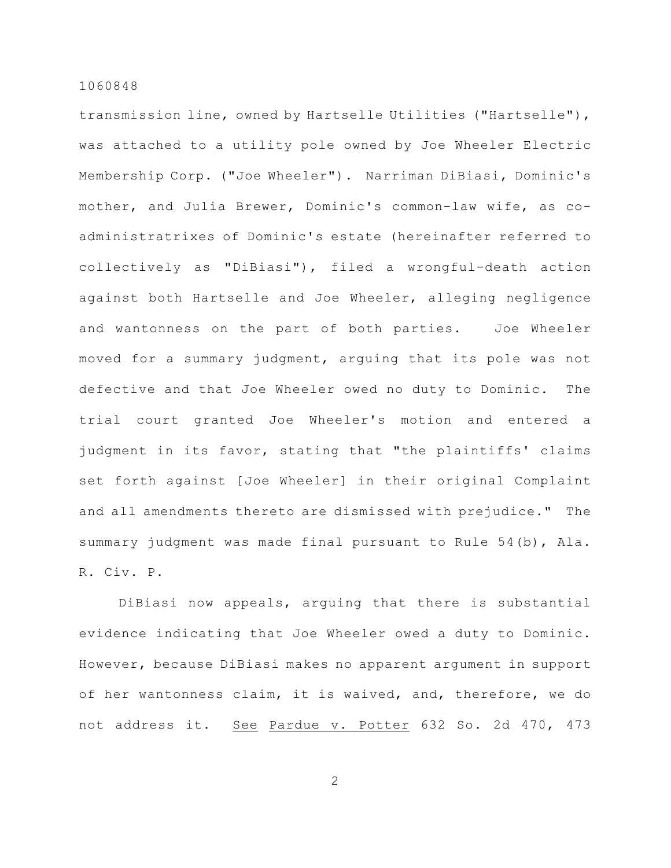transmission line, owned by Hartselle Utilities ("Hartselle"), was attached to a utility pole owned by Joe Wheeler Electric Membership Corp. ("Joe Wheeler"). Narriman DiBiasi, Dominic's mother, and Julia Brewer, Dominic's common-law wife, as coadministratrixes of Dominic's estate (hereinafter referred to collectively as "DiBiasi"), filed a wrongful-death action against both Hartselle and Joe Wheeler, alleging negligence and wantonness on the part of both parties. Joe Wheeler moved for a summary judgment, arguing that its pole was not defective and that Joe Wheeler owed no duty to Dominic. The trial court granted Joe Wheeler's motion and entered a judgment in its favor, stating that "the plaintiffs' claims set forth against [Joe Wheeler] in their original Complaint and all amendments thereto are dismissed with prejudice." The summary judgment was made final pursuant to Rule 54(b), Ala. R. Civ. P.

DiBiasi now appeals, arguing that there is substantial evidence indicating that Joe Wheeler owed a duty to Dominic. However, because DiBiasi makes no apparent argument in support of her wantonness claim, it is waived, and, therefore, we do not address it. See Pardue v. Potter 632 So. 2d 470, 473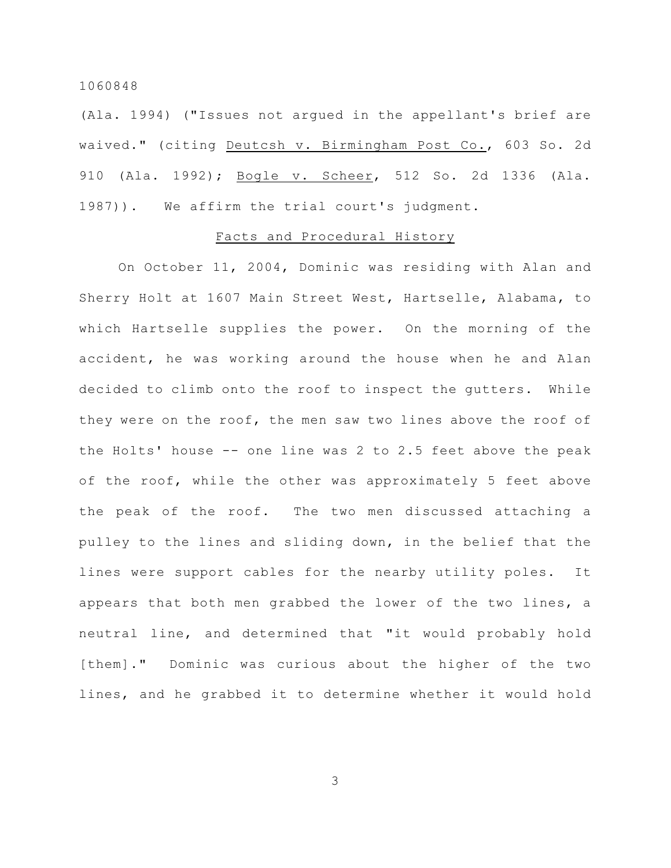(Ala. 1994) ("Issues not argued in the appellant's brief are waived." (citing Deutcsh v. Birmingham Post Co., 603 So. 2d 910 (Ala. 1992); Bogle v. Scheer, 512 So. 2d 1336 (Ala. 1987)). We affirm the trial court's judgment.

#### Facts and Procedural History

On October 11, 2004, Dominic was residing with Alan and Sherry Holt at 1607 Main Street West, Hartselle, Alabama, to which Hartselle supplies the power. On the morning of the accident, he was working around the house when he and Alan decided to climb onto the roof to inspect the gutters. While they were on the roof, the men saw two lines above the roof of the Holts' house -- one line was 2 to 2.5 feet above the peak of the roof, while the other was approximately 5 feet above the peak of the roof. The two men discussed attaching a pulley to the lines and sliding down, in the belief that the lines were support cables for the nearby utility poles. It appears that both men grabbed the lower of the two lines, a neutral line, and determined that "it would probably hold [them]." Dominic was curious about the higher of the two lines, and he grabbed it to determine whether it would hold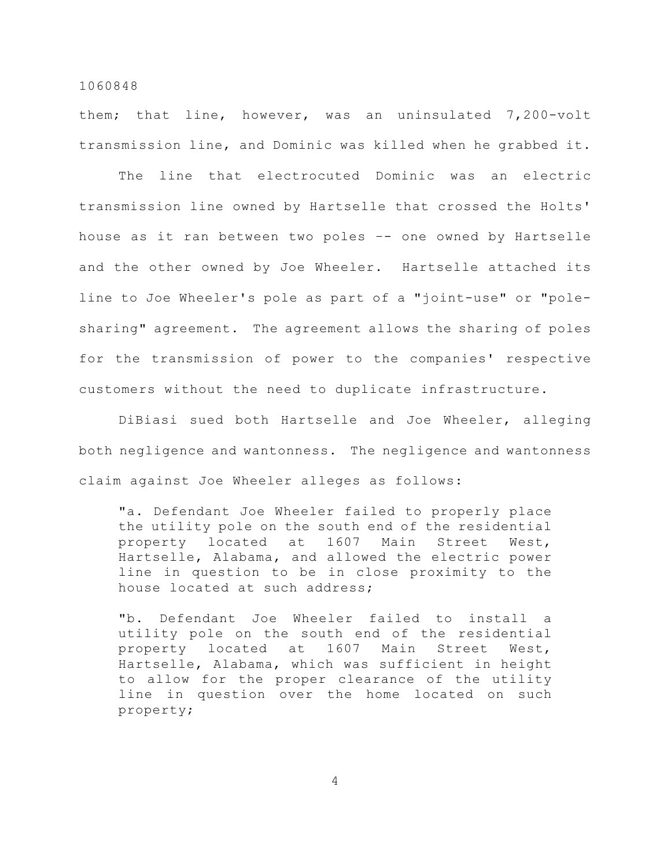them; that line, however, was an uninsulated 7,200-volt transmission line, and Dominic was killed when he grabbed it.

The line that electrocuted Dominic was an electric transmission line owned by Hartselle that crossed the Holts' house as it ran between two poles –- one owned by Hartselle and the other owned by Joe Wheeler. Hartselle attached its line to Joe Wheeler's pole as part of a "joint-use" or "polesharing" agreement. The agreement allows the sharing of poles for the transmission of power to the companies' respective customers without the need to duplicate infrastructure.

DiBiasi sued both Hartselle and Joe Wheeler, alleging both negligence and wantonness. The negligence and wantonness claim against Joe Wheeler alleges as follows:

"a. Defendant Joe Wheeler failed to properly place the utility pole on the south end of the residential property located at 1607 Main Street West, Hartselle, Alabama, and allowed the electric power line in question to be in close proximity to the house located at such address;

"b. Defendant Joe Wheeler failed to install a utility pole on the south end of the residential property located at 1607 Main Street West, Hartselle, Alabama, which was sufficient in height to allow for the proper clearance of the utility line in question over the home located on such property;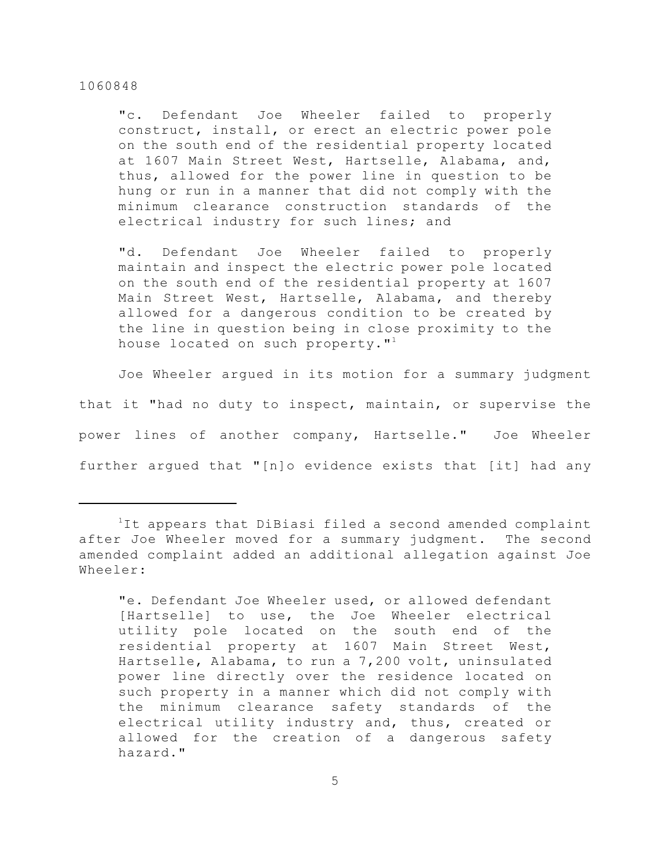"c. Defendant Joe Wheeler failed to properly construct, install, or erect an electric power pole on the south end of the residential property located at 1607 Main Street West, Hartselle, Alabama, and, thus, allowed for the power line in question to be hung or run in a manner that did not comply with the minimum clearance construction standards of the electrical industry for such lines; and

"d. Defendant Joe Wheeler failed to properly maintain and inspect the electric power pole located on the south end of the residential property at 1607 Main Street West, Hartselle, Alabama, and thereby allowed for a dangerous condition to be created by the line in question being in close proximity to the house located on such property." $^{\text{1}}$ 

Joe Wheeler argued in its motion for a summary judgment that it "had no duty to inspect, maintain, or supervise the power lines of another company, Hartselle." Joe Wheeler further argued that "[n]o evidence exists that [it] had any

 $1$ It appears that DiBiasi filed a second amended complaint after Joe Wheeler moved for a summary judgment. The second amended complaint added an additional allegation against Joe Wheeler:

<sup>&</sup>quot;e. Defendant Joe Wheeler used, or allowed defendant [Hartselle] to use, the Joe Wheeler electrical utility pole located on the south end of the residential property at 1607 Main Street West, Hartselle, Alabama, to run a 7,200 volt, uninsulated power line directly over the residence located on such property in a manner which did not comply with the minimum clearance safety standards of the electrical utility industry and, thus, created or allowed for the creation of a dangerous safety hazard."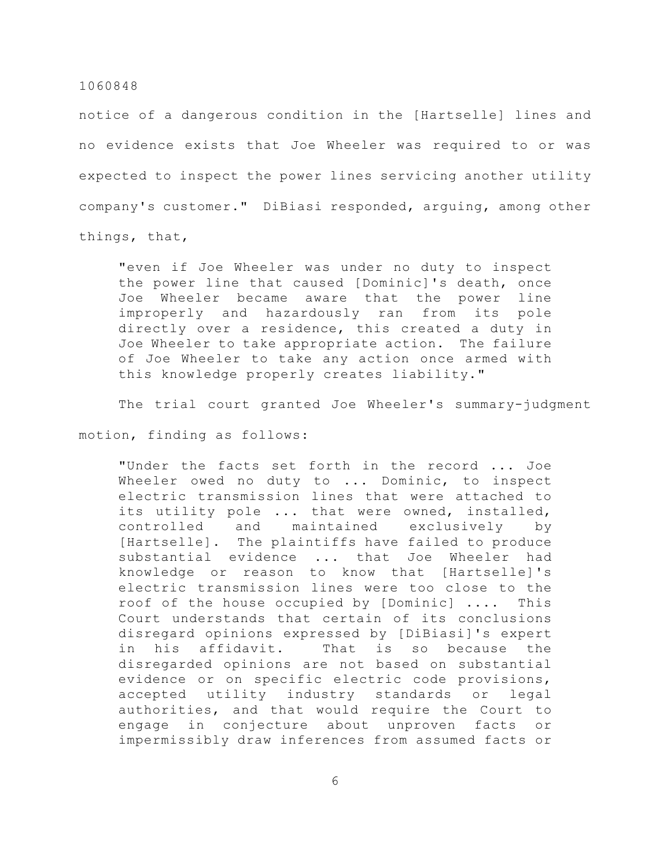notice of a dangerous condition in the [Hartselle] lines and no evidence exists that Joe Wheeler was required to or was expected to inspect the power lines servicing another utility company's customer." DiBiasi responded, arguing, among other things, that,

"even if Joe Wheeler was under no duty to inspect the power line that caused [Dominic]'s death, once Joe Wheeler became aware that the power line improperly and hazardously ran from its pole directly over a residence, this created a duty in Joe Wheeler to take appropriate action. The failure of Joe Wheeler to take any action once armed with this knowledge properly creates liability."

The trial court granted Joe Wheeler's summary-judgment

motion, finding as follows:

"Under the facts set forth in the record ... Joe Wheeler owed no duty to ... Dominic, to inspect electric transmission lines that were attached to its utility pole ... that were owned, installed, controlled and maintained exclusively by [Hartselle]. The plaintiffs have failed to produce substantial evidence ... that Joe Wheeler had knowledge or reason to know that [Hartselle]'s electric transmission lines were too close to the roof of the house occupied by [Dominic] .... This Court understands that certain of its conclusions disregard opinions expressed by [DiBiasi]'s expert in his affidavit. That is so because the disregarded opinions are not based on substantial evidence or on specific electric code provisions, accepted utility industry standards or legal authorities, and that would require the Court to engage in conjecture about unproven facts or impermissibly draw inferences from assumed facts or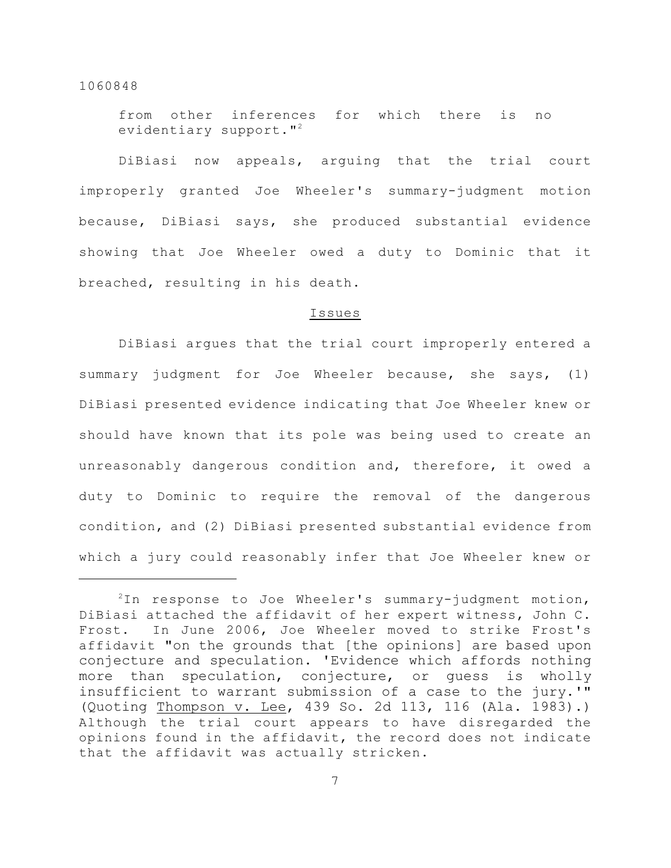from other inferences for which there is no evidentiary support."<sup>2</sup>

DiBiasi now appeals, arguing that the trial court improperly granted Joe Wheeler's summary-judgment motion because, DiBiasi says, she produced substantial evidence showing that Joe Wheeler owed a duty to Dominic that it breached, resulting in his death.

#### Issues

DiBiasi argues that the trial court improperly entered a summary judgment for Joe Wheeler because, she says, (1) DiBiasi presented evidence indicating that Joe Wheeler knew or should have known that its pole was being used to create an unreasonably dangerous condition and, therefore, it owed a duty to Dominic to require the removal of the dangerous condition, and (2) DiBiasi presented substantial evidence from which a jury could reasonably infer that Joe Wheeler knew or

 $2$ In response to Joe Wheeler's summary-judgment motion, DiBiasi attached the affidavit of her expert witness, John C. Frost. In June 2006, Joe Wheeler moved to strike Frost's affidavit "on the grounds that [the opinions] are based upon conjecture and speculation. 'Evidence which affords nothing more than speculation, conjecture, or guess is wholly insufficient to warrant submission of a case to the jury.'" (Quoting Thompson v. Lee, 439 So. 2d 113, 116 (Ala. 1983).) Although the trial court appears to have disregarded the opinions found in the affidavit, the record does not indicate that the affidavit was actually stricken.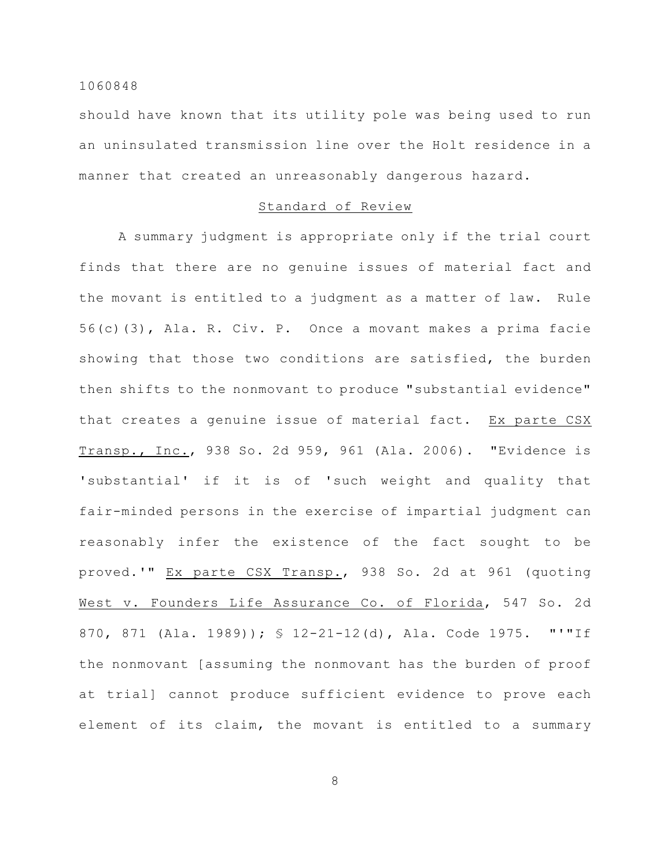should have known that its utility pole was being used to run an uninsulated transmission line over the Holt residence in a manner that created an unreasonably dangerous hazard.

### Standard of Review

A summary judgment is appropriate only if the trial court finds that there are no genuine issues of material fact and the movant is entitled to a judgment as a matter of law. Rule 56(c)(3), Ala. R. Civ. P. Once a movant makes a prima facie showing that those two conditions are satisfied, the burden then shifts to the nonmovant to produce "substantial evidence" that creates a genuine issue of material fact. Ex parte CSX Transp., Inc., 938 So. 2d 959, 961 (Ala. 2006). "Evidence is 'substantial' if it is of 'such weight and quality that fair-minded persons in the exercise of impartial judgment can reasonably infer the existence of the fact sought to be proved.'" Ex parte CSX Transp., 938 So. 2d at 961 (quoting West v. Founders Life Assurance Co. of Florida, 547 So. 2d 870, 871 (Ala. 1989)); § 12-21-12(d), Ala. Code 1975. "'"If the nonmovant [assuming the nonmovant has the burden of proof at trial] cannot produce sufficient evidence to prove each element of its claim, the movant is entitled to a summary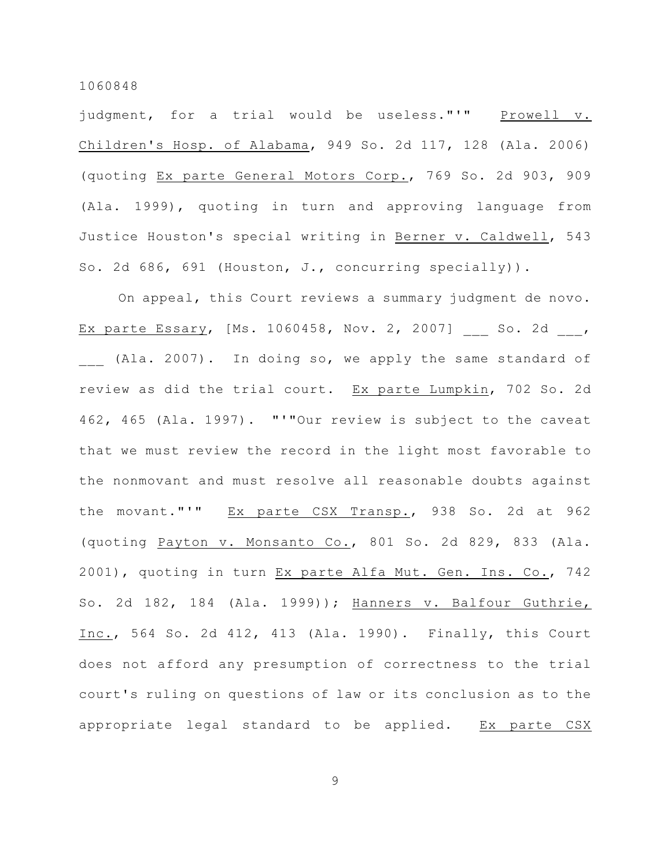judgment, for a trial would be useless."'" Prowell v. Children's Hosp. of Alabama, 949 So. 2d 117, 128 (Ala. 2006) (quoting Ex parte General Motors Corp., 769 So. 2d 903, 909 (Ala. 1999), quoting in turn and approving language from Justice Houston's special writing in Berner v. Caldwell, 543 So. 2d 686, 691 (Houston, J., concurring specially)).

On appeal, this Court reviews a summary judgment de novo. Ex parte Essary, [Ms. 1060458, Nov. 2, 2007] \_\_\_ So. 2d \_\_\_, (Ala. 2007). In doing so, we apply the same standard of review as did the trial court. Ex parte Lumpkin, 702 So. 2d 462, 465 (Ala. 1997). "'"Our review is subject to the caveat that we must review the record in the light most favorable to the nonmovant and must resolve all reasonable doubts against the movant."'" Ex parte CSX Transp., 938 So. 2d at 962 (quoting Payton v. Monsanto Co., 801 So. 2d 829, 833 (Ala. 2001), quoting in turn Ex parte Alfa Mut. Gen. Ins. Co., 742 So. 2d 182, 184 (Ala. 1999)); Hanners v. Balfour Guthrie, Inc., 564 So. 2d 412, 413 (Ala. 1990). Finally, this Court does not afford any presumption of correctness to the trial court's ruling on questions of law or its conclusion as to the appropriate legal standard to be applied. Ex parte CSX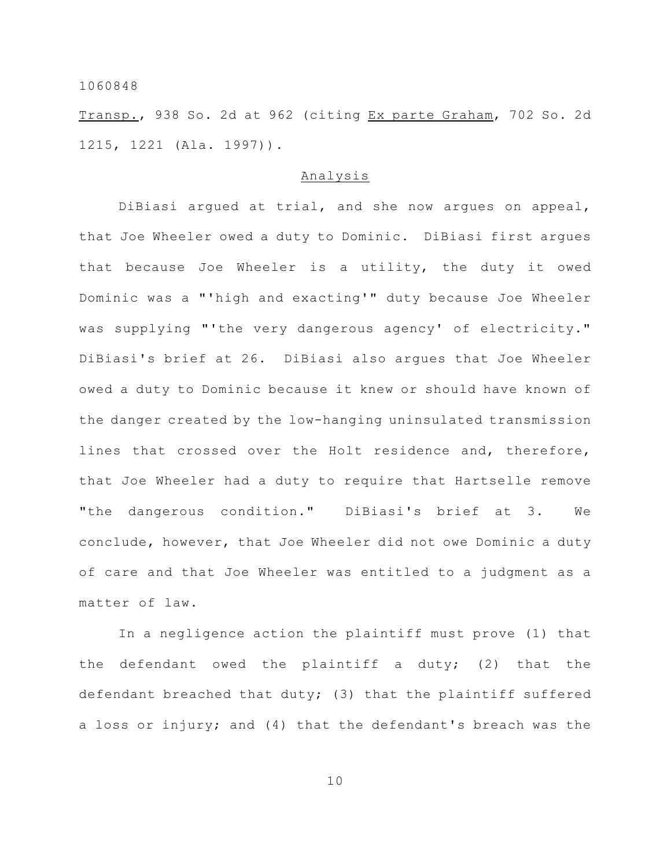Transp., 938 So. 2d at 962 (citing Ex parte Graham, 702 So. 2d 1215, 1221 (Ala. 1997)).

#### Analysis

DiBiasi argued at trial, and she now argues on appeal, that Joe Wheeler owed a duty to Dominic. DiBiasi first argues that because Joe Wheeler is a utility, the duty it owed Dominic was a "'high and exacting'" duty because Joe Wheeler was supplying "'the very dangerous agency' of electricity." DiBiasi's brief at 26. DiBiasi also argues that Joe Wheeler owed a duty to Dominic because it knew or should have known of the danger created by the low-hanging uninsulated transmission lines that crossed over the Holt residence and, therefore, that Joe Wheeler had a duty to require that Hartselle remove "the dangerous condition." DiBiasi's brief at 3. We conclude, however, that Joe Wheeler did not owe Dominic a duty of care and that Joe Wheeler was entitled to a judgment as a matter of law.

In a negligence action the plaintiff must prove (1) that the defendant owed the plaintiff a duty; (2) that the defendant breached that duty; (3) that the plaintiff suffered a loss or injury; and (4) that the defendant's breach was the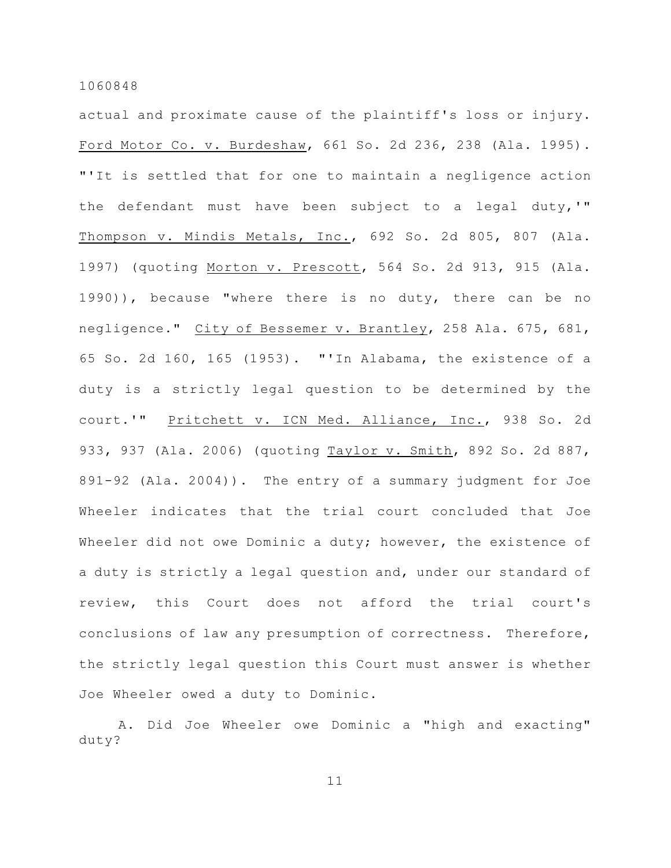actual and proximate cause of the plaintiff's loss or injury. Ford Motor Co. v. Burdeshaw, 661 So. 2d 236, 238 (Ala. 1995). "'It is settled that for one to maintain a negligence action the defendant must have been subject to a legal duty,'" Thompson v. Mindis Metals, Inc., 692 So. 2d 805, 807 (Ala. 1997) (quoting Morton v. Prescott, 564 So. 2d 913, 915 (Ala. 1990)), because "where there is no duty, there can be no negligence." City of Bessemer v. Brantley, 258 Ala. 675, 681, 65 So. 2d 160, 165 (1953). "'In Alabama, the existence of a duty is a strictly legal question to be determined by the court.'" Pritchett v. ICN Med. Alliance, Inc., 938 So. 2d 933, 937 (Ala. 2006) (quoting Taylor v. Smith, 892 So. 2d 887, 891-92 (Ala. 2004)). The entry of a summary judgment for Joe Wheeler indicates that the trial court concluded that Joe Wheeler did not owe Dominic a duty; however, the existence of a duty is strictly a legal question and, under our standard of review, this Court does not afford the trial court's conclusions of law any presumption of correctness. Therefore, the strictly legal question this Court must answer is whether Joe Wheeler owed a duty to Dominic.

A. Did Joe Wheeler owe Dominic a "high and exacting" duty?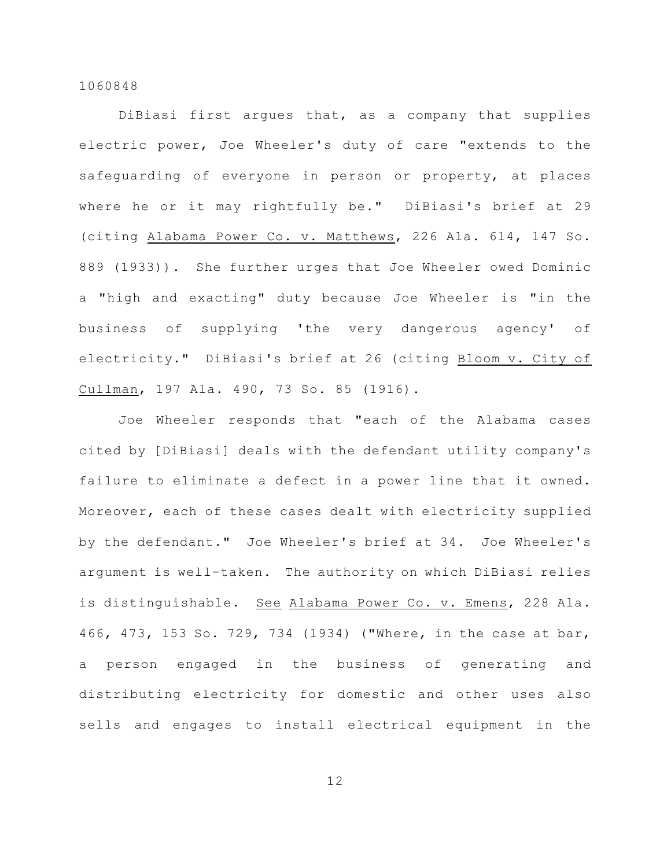DiBiasi first argues that, as a company that supplies electric power, Joe Wheeler's duty of care "extends to the safeguarding of everyone in person or property, at places where he or it may rightfully be." DiBiasi's brief at 29 (citing Alabama Power Co. v. Matthews, 226 Ala. 614, 147 So. 889 (1933)). She further urges that Joe Wheeler owed Dominic a "high and exacting" duty because Joe Wheeler is "in the business of supplying 'the very dangerous agency' of electricity." DiBiasi's brief at 26 (citing Bloom v. City of Cullman, 197 Ala. 490, 73 So. 85 (1916).

Joe Wheeler responds that "each of the Alabama cases cited by [DiBiasi] deals with the defendant utility company's failure to eliminate a defect in a power line that it owned. Moreover, each of these cases dealt with electricity supplied by the defendant." Joe Wheeler's brief at 34. Joe Wheeler's argument is well-taken. The authority on which DiBiasi relies is distinguishable. See Alabama Power Co. v. Emens, 228 Ala. 466, 473, 153 So. 729, 734 (1934) ("Where, in the case at bar, a person engaged in the business of generating and distributing electricity for domestic and other uses also sells and engages to install electrical equipment in the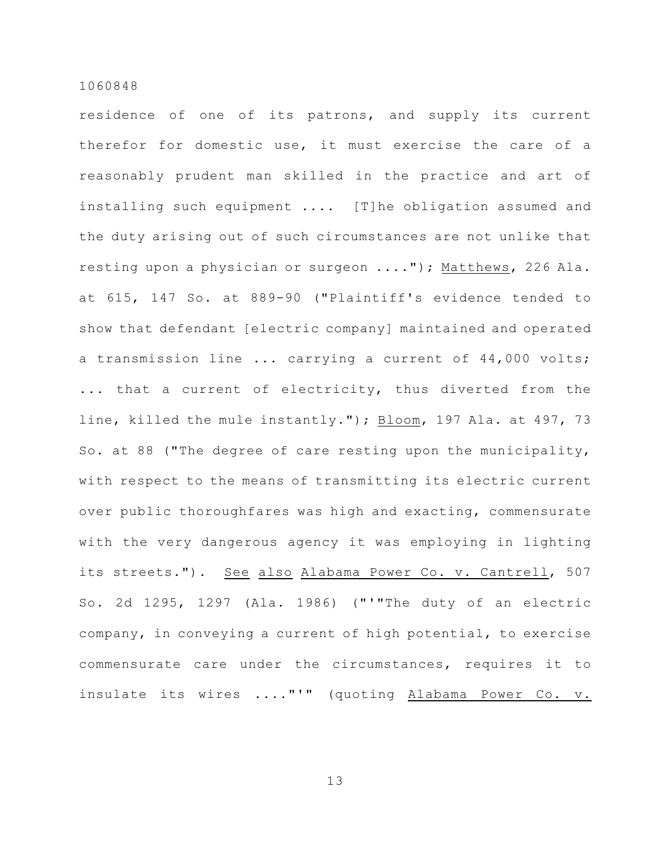residence of one of its patrons, and supply its current therefor for domestic use, it must exercise the care of a reasonably prudent man skilled in the practice and art of installing such equipment .... [T]he obligation assumed and the duty arising out of such circumstances are not unlike that resting upon a physician or surgeon ...."); Matthews, 226 Ala. at 615, 147 So. at 889-90 ("Plaintiff's evidence tended to show that defendant [electric company] maintained and operated a transmission line ... carrying a current of 44,000 volts; ... that a current of electricity, thus diverted from the line, killed the mule instantly."); Bloom, 197 Ala. at 497, 73 So. at 88 ("The degree of care resting upon the municipality, with respect to the means of transmitting its electric current over public thoroughfares was high and exacting, commensurate with the very dangerous agency it was employing in lighting its streets."). See also Alabama Power Co. v. Cantrell, 507 So. 2d 1295, 1297 (Ala. 1986) ("'"The duty of an electric company, in conveying a current of high potential, to exercise commensurate care under the circumstances, requires it to insulate its wires ...."'" (quoting Alabama Power Co. v.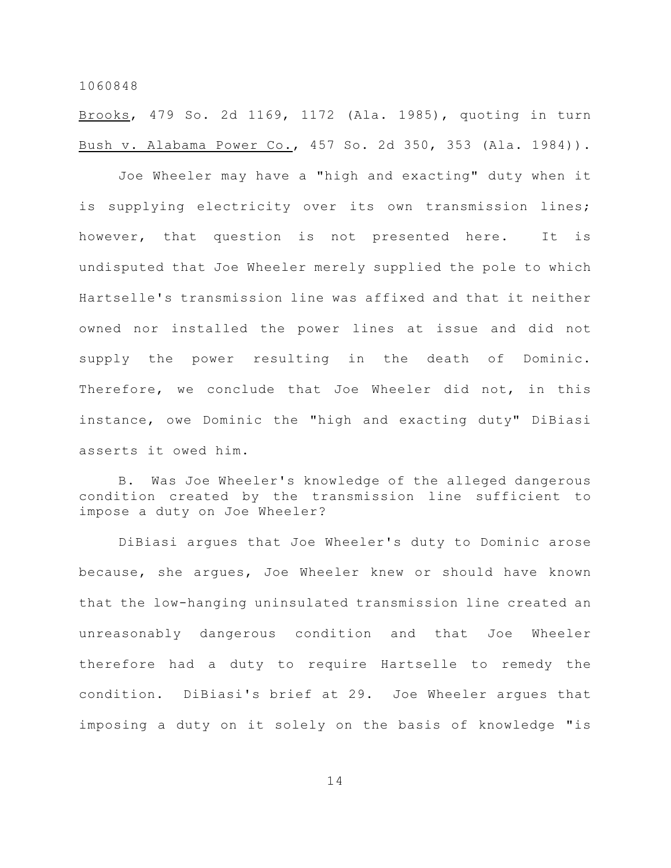Brooks, 479 So. 2d 1169, 1172 (Ala. 1985), quoting in turn Bush v. Alabama Power Co., 457 So. 2d 350, 353 (Ala. 1984)).

Joe Wheeler may have a "high and exacting" duty when it is supplying electricity over its own transmission lines; however, that question is not presented here. It is undisputed that Joe Wheeler merely supplied the pole to which Hartselle's transmission line was affixed and that it neither owned nor installed the power lines at issue and did not supply the power resulting in the death of Dominic. Therefore, we conclude that Joe Wheeler did not, in this instance, owe Dominic the "high and exacting duty" DiBiasi asserts it owed him.

B. Was Joe Wheeler's knowledge of the alleged dangerous condition created by the transmission line sufficient to impose a duty on Joe Wheeler?

DiBiasi argues that Joe Wheeler's duty to Dominic arose because, she argues, Joe Wheeler knew or should have known that the low-hanging uninsulated transmission line created an unreasonably dangerous condition and that Joe Wheeler therefore had a duty to require Hartselle to remedy the condition. DiBiasi's brief at 29. Joe Wheeler argues that imposing a duty on it solely on the basis of knowledge "is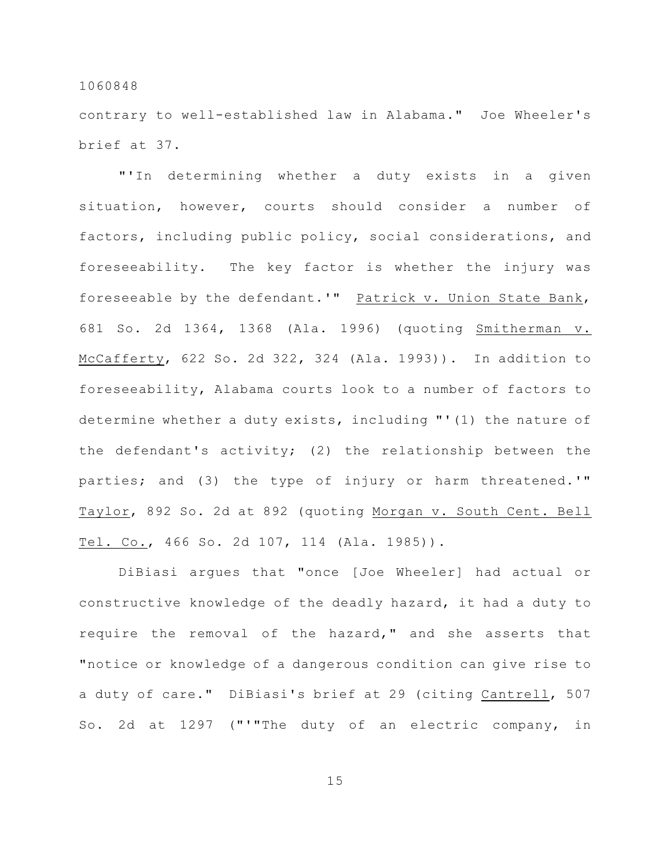contrary to well-established law in Alabama." Joe Wheeler's brief at 37.

"'In determining whether a duty exists in a given situation, however, courts should consider a number of factors, including public policy, social considerations, and foreseeability. The key factor is whether the injury was foreseeable by the defendant.'" Patrick v. Union State Bank, 681 So. 2d 1364, 1368 (Ala. 1996) (quoting Smitherman v. McCafferty, 622 So. 2d 322, 324 (Ala. 1993)). In addition to foreseeability, Alabama courts look to a number of factors to determine whether a duty exists, including "'(1) the nature of the defendant's activity; (2) the relationship between the parties; and (3) the type of injury or harm threatened.'" Taylor, 892 So. 2d at 892 (quoting Morgan v. South Cent. Bell Tel. Co., 466 So. 2d 107, 114 (Ala. 1985)).

DiBiasi argues that "once [Joe Wheeler] had actual or constructive knowledge of the deadly hazard, it had a duty to require the removal of the hazard," and she asserts that "notice or knowledge of a dangerous condition can give rise to a duty of care." DiBiasi's brief at 29 (citing Cantrell, 507 So. 2d at 1297 ("'"The duty of an electric company, in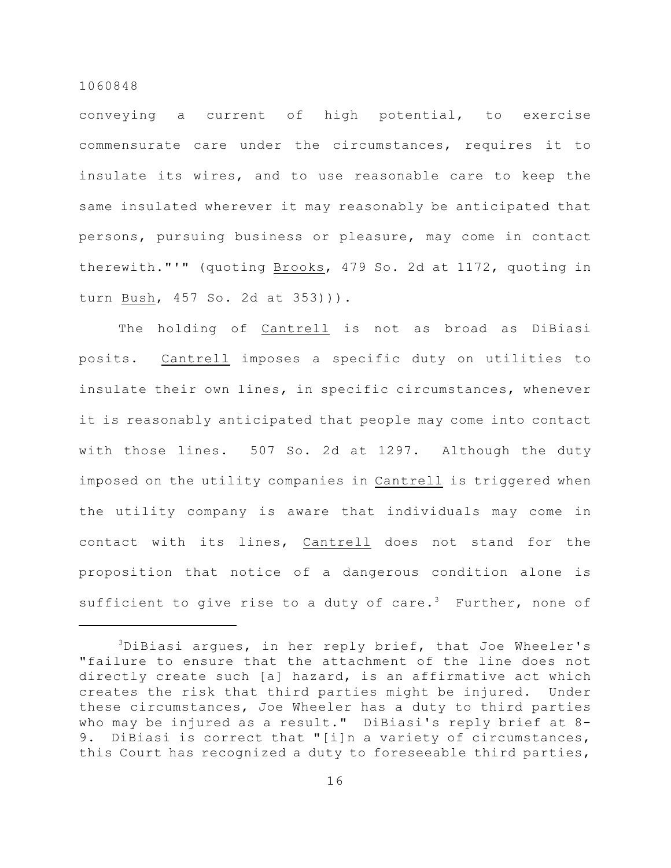conveying a current of high potential, to exercise commensurate care under the circumstances, requires it to insulate its wires, and to use reasonable care to keep the same insulated wherever it may reasonably be anticipated that persons, pursuing business or pleasure, may come in contact therewith."'" (quoting Brooks, 479 So. 2d at 1172, quoting in turn Bush, 457 So. 2d at 353))).

The holding of Cantrell is not as broad as DiBiasi posits. Cantrell imposes a specific duty on utilities to insulate their own lines, in specific circumstances, whenever it is reasonably anticipated that people may come into contact with those lines. 507 So. 2d at 1297. Although the duty imposed on the utility companies in Cantrell is triggered when the utility company is aware that individuals may come in contact with its lines, Cantrell does not stand for the proposition that notice of a dangerous condition alone is sufficient to give rise to a duty of care.<sup>3</sup> Further, none of

 $3$ DiBiasi argues, in her reply brief, that Joe Wheeler's "failure to ensure that the attachment of the line does not directly create such [a] hazard, is an affirmative act which creates the risk that third parties might be injured. Under these circumstances, Joe Wheeler has a duty to third parties who may be injured as a result." DiBiasi's reply brief at 8- 9. DiBiasi is correct that "[i]n a variety of circumstances, this Court has recognized a duty to foreseeable third parties,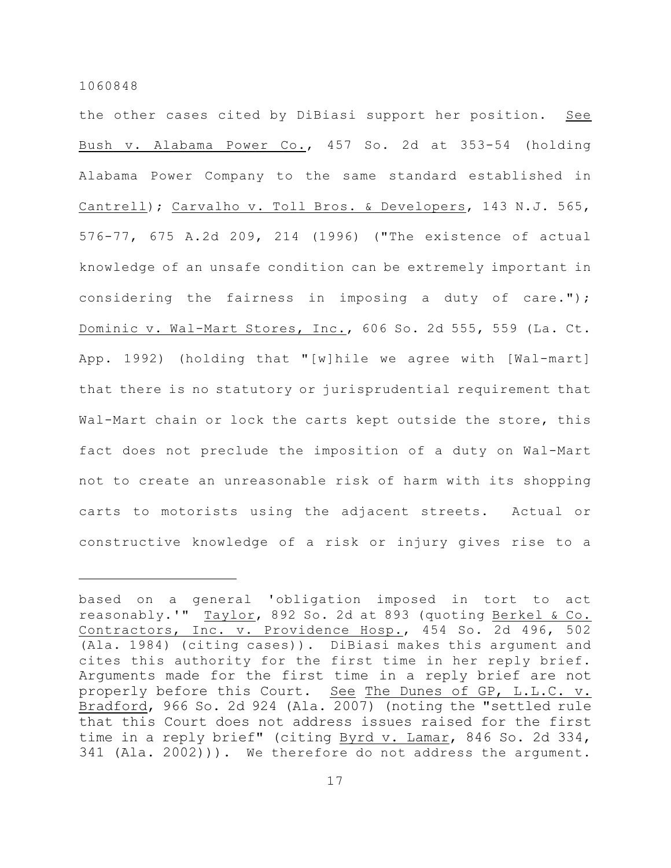the other cases cited by DiBiasi support her position. See Bush v. Alabama Power Co., 457 So. 2d at 353-54 (holding Alabama Power Company to the same standard established in Cantrell); Carvalho v. Toll Bros. & Developers, 143 N.J. 565, 576-77, 675 A.2d 209, 214 (1996) ("The existence of actual knowledge of an unsafe condition can be extremely important in considering the fairness in imposing a duty of care."); Dominic v. Wal-Mart Stores, Inc., 606 So. 2d 555, 559 (La. Ct. App. 1992) (holding that "[w]hile we agree with [Wal-mart] that there is no statutory or jurisprudential requirement that Wal-Mart chain or lock the carts kept outside the store, this fact does not preclude the imposition of a duty on Wal-Mart not to create an unreasonable risk of harm with its shopping carts to motorists using the adjacent streets. Actual or constructive knowledge of a risk or injury gives rise to a

based on a general 'obligation imposed in tort to act reasonably.'" Taylor, 892 So. 2d at 893 (quoting Berkel & Co. Contractors, Inc. v. Providence Hosp., 454 So. 2d 496, 502 (Ala. 1984) (citing cases)). DiBiasi makes this argument and cites this authority for the first time in her reply brief. Arguments made for the first time in a reply brief are not properly before this Court. See The Dunes of GP, L.L.C. v. Bradford, 966 So. 2d 924 (Ala. 2007) (noting the "settled rule that this Court does not address issues raised for the first time in a reply brief" (citing Byrd v. Lamar, 846 So. 2d 334, 341 (Ala. 2002))). We therefore do not address the argument.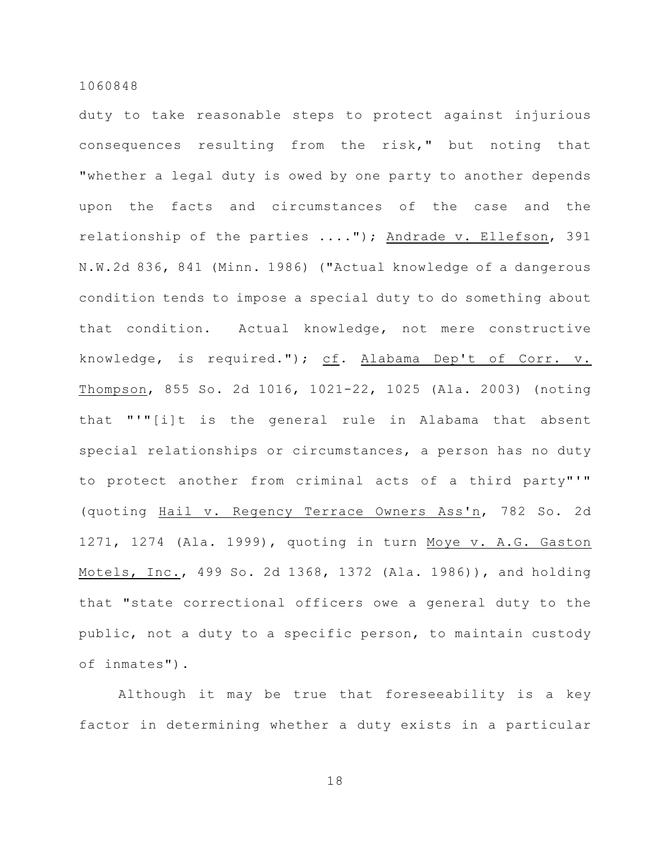duty to take reasonable steps to protect against injurious consequences resulting from the risk," but noting that "whether a legal duty is owed by one party to another depends upon the facts and circumstances of the case and the relationship of the parties ...."); Andrade v. Ellefson, 391 N.W.2d 836, 841 (Minn. 1986) ("Actual knowledge of a dangerous condition tends to impose a special duty to do something about that condition. Actual knowledge, not mere constructive knowledge, is required."); cf. Alabama Dep't of Corr. v. Thompson, 855 So. 2d 1016, 1021-22, 1025 (Ala. 2003) (noting that "'"[i]t is the general rule in Alabama that absent special relationships or circumstances, a person has no duty to protect another from criminal acts of a third party"'" (quoting Hail v. Regency Terrace Owners Ass'n, 782 So. 2d 1271, 1274 (Ala. 1999), quoting in turn Moye v. A.G. Gaston Motels, Inc., 499 So. 2d 1368, 1372 (Ala. 1986)), and holding that "state correctional officers owe a general duty to the public, not a duty to a specific person, to maintain custody of inmates").

Although it may be true that foreseeability is a key factor in determining whether a duty exists in a particular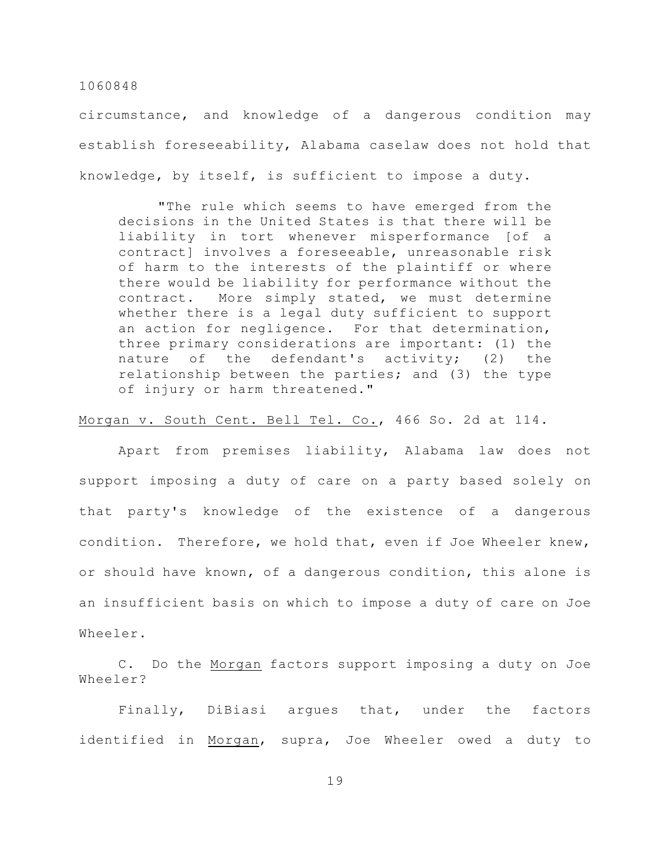circumstance, and knowledge of a dangerous condition may establish foreseeability, Alabama caselaw does not hold that knowledge, by itself, is sufficient to impose a duty.

"The rule which seems to have emerged from the decisions in the United States is that there will be liability in tort whenever misperformance [of a contract] involves a foreseeable, unreasonable risk of harm to the interests of the plaintiff or where there would be liability for performance without the contract. More simply stated, we must determine whether there is a legal duty sufficient to support an action for negligence. For that determination, three primary considerations are important: (1) the nature of the defendant's activity; (2) the relationship between the parties; and (3) the type of injury or harm threatened."

#### Morgan v. South Cent. Bell Tel. Co., 466 So. 2d at 114.

Apart from premises liability, Alabama law does not support imposing a duty of care on a party based solely on that party's knowledge of the existence of a dangerous condition. Therefore, we hold that, even if Joe Wheeler knew, or should have known, of a dangerous condition, this alone is an insufficient basis on which to impose a duty of care on Joe Wheeler.

C. Do the Morgan factors support imposing a duty on Joe Wheeler?

Finally, DiBiasi argues that, under the factors identified in Morgan, supra, Joe Wheeler owed a duty to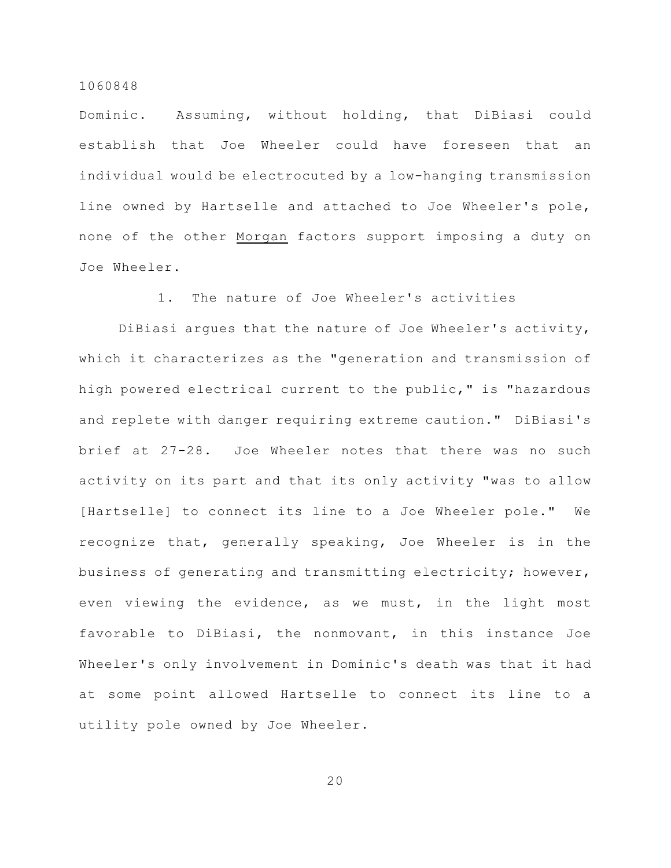Dominic. Assuming, without holding, that DiBiasi could establish that Joe Wheeler could have foreseen that an individual would be electrocuted by a low-hanging transmission line owned by Hartselle and attached to Joe Wheeler's pole, none of the other Morgan factors support imposing a duty on Joe Wheeler.

1. The nature of Joe Wheeler's activities

DiBiasi argues that the nature of Joe Wheeler's activity, which it characterizes as the "generation and transmission of high powered electrical current to the public," is "hazardous and replete with danger requiring extreme caution." DiBiasi's brief at 27-28. Joe Wheeler notes that there was no such activity on its part and that its only activity "was to allow [Hartselle] to connect its line to a Joe Wheeler pole." We recognize that, generally speaking, Joe Wheeler is in the business of generating and transmitting electricity; however, even viewing the evidence, as we must, in the light most favorable to DiBiasi, the nonmovant, in this instance Joe Wheeler's only involvement in Dominic's death was that it had at some point allowed Hartselle to connect its line to a utility pole owned by Joe Wheeler.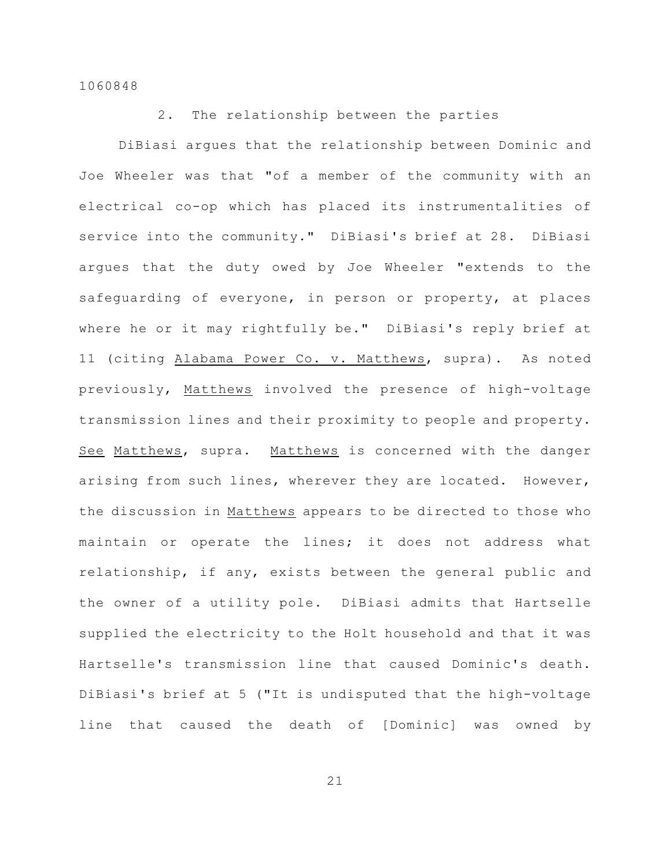2. The relationship between the parties

DiBiasi argues that the relationship between Dominic and Joe Wheeler was that "of a member of the community with an electrical co-op which has placed its instrumentalities of service into the community." DiBiasi's brief at 28. DiBiasi argues that the duty owed by Joe Wheeler "extends to the safeguarding of everyone, in person or property, at places where he or it may rightfully be." DiBiasi's reply brief at 11 (citing Alabama Power Co. v. Matthews, supra). As noted previously, Matthews involved the presence of high-voltage transmission lines and their proximity to people and property. See Matthews, supra. Matthews is concerned with the danger arising from such lines, wherever they are located. However, the discussion in Matthews appears to be directed to those who maintain or operate the lines; it does not address what relationship, if any, exists between the general public and the owner of a utility pole. DiBiasi admits that Hartselle supplied the electricity to the Holt household and that it was Hartselle's transmission line that caused Dominic's death. DiBiasi's brief at 5 ("It is undisputed that the high-voltage line that caused the death of [Dominic] was owned by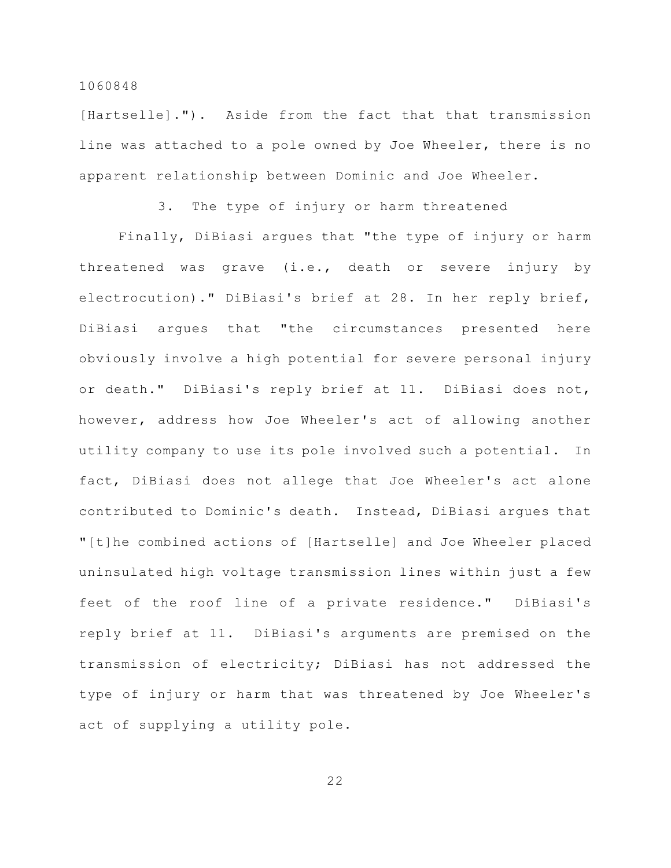[Hartselle]."). Aside from the fact that that transmission line was attached to a pole owned by Joe Wheeler, there is no apparent relationship between Dominic and Joe Wheeler.

3. The type of injury or harm threatened

Finally, DiBiasi argues that "the type of injury or harm threatened was grave (i.e., death or severe injury by electrocution)." DiBiasi's brief at 28. In her reply brief, DiBiasi argues that "the circumstances presented here obviously involve a high potential for severe personal injury or death." DiBiasi's reply brief at 11. DiBiasi does not, however, address how Joe Wheeler's act of allowing another utility company to use its pole involved such a potential. In fact, DiBiasi does not allege that Joe Wheeler's act alone contributed to Dominic's death. Instead, DiBiasi argues that "[t]he combined actions of [Hartselle] and Joe Wheeler placed uninsulated high voltage transmission lines within just a few feet of the roof line of a private residence." DiBiasi's reply brief at 11. DiBiasi's arguments are premised on the transmission of electricity; DiBiasi has not addressed the type of injury or harm that was threatened by Joe Wheeler's act of supplying a utility pole.